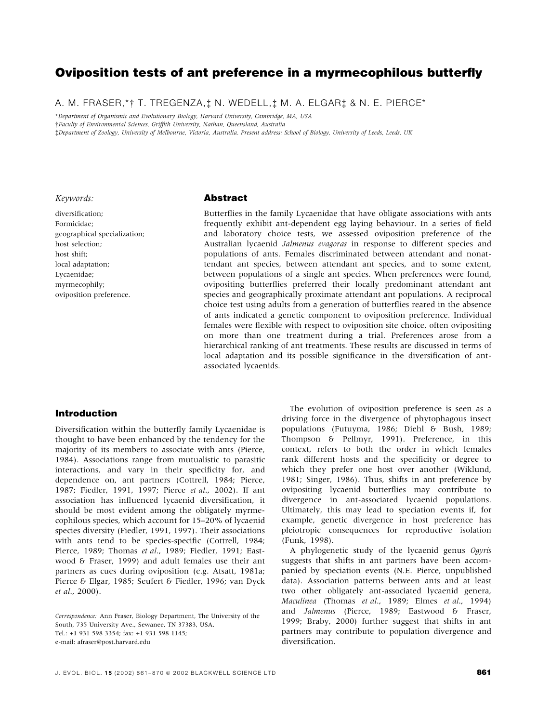# Oviposition tests of ant preference in a myrmecophilous butterfly

A. M. FRASER,\*† T. TREGENZA,‡ N. WEDELL,‡ M. A. ELGAR‡ & N. E. PIERCE\*

\*Department of Organismic and Evolutionary Biology, Harvard University, Cambridge, MA, USA

Faculty of Environmental Sciences, Griffith University, Nathan, Queensland, Australia

-Department of Zoology, University of Melbourne, Victoria, Australia. Present address: School of Biology, University of Leeds, Leeds, UK

#### Keywords:

diversification; Formicidae; geographical specialization; host selection; host shift; local adaptation; Lycaenidae; myrmecophily; oviposition preference.

# Abstract

Butterflies in the family Lycaenidae that have obligate associations with ants frequently exhibit ant-dependent egg laying behaviour. In a series of field and laboratory choice tests, we assessed oviposition preference of the Australian lycaenid Jalmenus evagoras in response to different species and populations of ants. Females discriminated between attendant and nonattendant ant species, between attendant ant species, and to some extent, between populations of a single ant species. When preferences were found, ovipositing butterflies preferred their locally predominant attendant ant species and geographically proximate attendant ant populations. A reciprocal choice test using adults from a generation of butterflies reared in the absence of ants indicated a genetic component to oviposition preference. Individual females were flexible with respect to oviposition site choice, often ovipositing on more than one treatment during a trial. Preferences arose from a hierarchical ranking of ant treatments. These results are discussed in terms of local adaptation and its possible significance in the diversification of antassociated lycaenids.

# Introduction

Diversification within the butterfly family Lycaenidae is thought to have been enhanced by the tendency for the majority of its members to associate with ants (Pierce, 1984). Associations range from mutualistic to parasitic interactions, and vary in their specificity for, and dependence on, ant partners (Cottrell, 1984; Pierce, 1987; Fiedler, 1991, 1997; Pierce et al., 2002). If ant association has influenced lycaenid diversification, it should be most evident among the obligately myrmecophilous species, which account for 15–20% of lycaenid species diversity (Fiedler, 1991, 1997). Their associations with ants tend to be species-specific (Cottrell, 1984; Pierce, 1989; Thomas et al., 1989; Fiedler, 1991; Eastwood & Fraser, 1999) and adult females use their ant partners as cues during oviposition (e.g. Atsatt, 1981a; Pierce & Elgar, 1985; Seufert & Fiedler, 1996; van Dyck et al., 2000).

Correspondence: Ann Fraser, Biology Department, The University of the South, 735 University Ave., Sewanee, TN 37383, USA. Tel.: +1 931 598 3354; fax: +1 931 598 1145; e-mail: afraser@post.harvard.edu

The evolution of oviposition preference is seen as a driving force in the divergence of phytophagous insect populations (Futuyma, 1986; Diehl & Bush, 1989; Thompson & Pellmyr, 1991). Preference, in this context, refers to both the order in which females rank different hosts and the specificity or degree to which they prefer one host over another (Wiklund, 1981; Singer, 1986). Thus, shifts in ant preference by ovipositing lycaenid butterflies may contribute to divergence in ant-associated lycaenid populations. Ultimately, this may lead to speciation events if, for example, genetic divergence in host preference has pleiotropic consequences for reproductive isolation (Funk, 1998).

A phylogenetic study of the lycaenid genus Ogyris suggests that shifts in ant partners have been accompanied by speciation events (N.E. Pierce, unpublished data). Association patterns between ants and at least two other obligately ant-associated lycaenid genera, Maculinea (Thomas et al., 1989; Elmes et al., 1994) and Jalmenus (Pierce, 1989; Eastwood & Fraser, 1999; Braby, 2000) further suggest that shifts in ant partners may contribute to population divergence and diversification.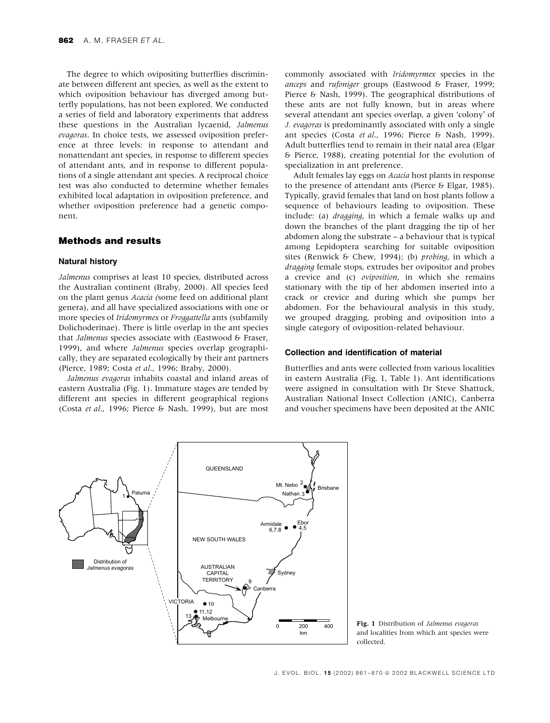The degree to which ovipositing butterflies discriminate between different ant species, as well as the extent to which oviposition behaviour has diverged among butterfly populations, has not been explored. We conducted a series of field and laboratory experiments that address these questions in the Australian lycaenid, Jalmenus evagoras. In choice tests, we assessed oviposition preference at three levels: in response to attendant and nonattendant ant species, in response to different species of attendant ants, and in response to different populations of a single attendant ant species. A reciprocal choice test was also conducted to determine whether females exhibited local adaptation in oviposition preference, and whether oviposition preference had a genetic component.

### Methods and results

#### Natural history

Jalmenus comprises at least 10 species, distributed across the Australian continent (Braby, 2000). All species feed on the plant genus Acacia (some feed on additional plant genera), and all have specialized associations with one or more species of Iridomyrmex or Froggattella ants (subfamily Dolichoderinae). There is little overlap in the ant species that Jalmenus species associate with (Eastwood & Fraser, 1999), and where Jalmenus species overlap geographically, they are separated ecologically by their ant partners (Pierce, 1989; Costa et al., 1996; Braby, 2000).

Jalmenus evagoras inhabits coastal and inland areas of eastern Australia (Fig. 1). Immature stages are tended by different ant species in different geographical regions (Costa et al., 1996; Pierce & Nash, 1999), but are most

commonly associated with Iridomyrmex species in the anceps and rufoniger groups (Eastwood & Fraser, 1999; Pierce & Nash, 1999). The geographical distributions of these ants are not fully known, but in areas where several attendant ant species overlap, a given 'colony' of J. evagoras is predominantly associated with only a single ant species (Costa et al., 1996; Pierce & Nash, 1999). Adult butterflies tend to remain in their natal area (Elgar & Pierce, 1988), creating potential for the evolution of specialization in ant preference.

Adult females lay eggs on Acacia host plants in response to the presence of attendant ants (Pierce & Elgar, 1985). Typically, gravid females that land on host plants follow a sequence of behaviours leading to oviposition. These include: (a) dragging, in which a female walks up and down the branches of the plant dragging the tip of her abdomen along the substrate  $-$  a behaviour that is typical among Lepidoptera searching for suitable oviposition sites (Renwick & Chew, 1994); (b) probing, in which a dragging female stops, extrudes her ovipositor and probes a crevice and (c) oviposition, in which she remains stationary with the tip of her abdomen inserted into a crack or crevice and during which she pumps her abdomen. For the behavioural analysis in this study, we grouped dragging, probing and oviposition into a single category of oviposition-related behaviour.

#### Collection and identification of material

Butterflies and ants were collected from various localities in eastern Australia (Fig. 1, Table 1). Ant identifications were assigned in consultation with Dr Steve Shattuck, Australian National Insect Collection (ANIC), Canberra and voucher specimens have been deposited at the ANIC



Fig. 1 Distribution of Jalmenus evagoras and localities from which ant species were collected.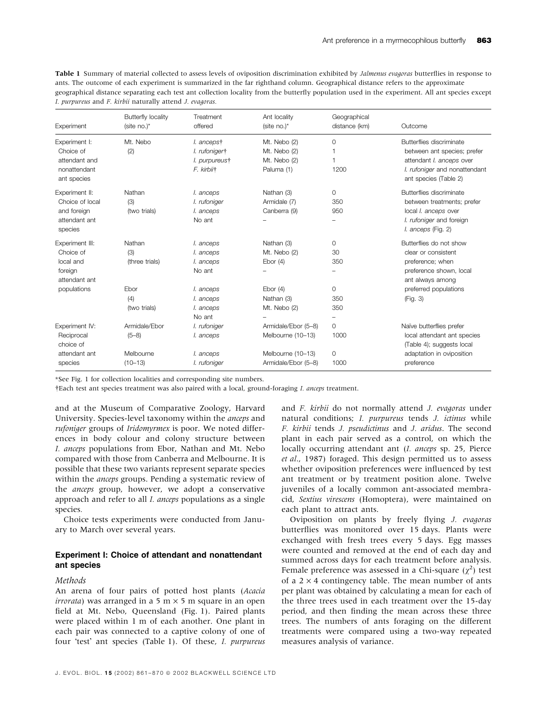| <b>Table 1</b> Summary of material collected to assess levels of oviposition discrimination exhibited by Jalmenus evagoras butterflies in response to |
|-------------------------------------------------------------------------------------------------------------------------------------------------------|
| ants. The outcome of each experiment is summarized in the far righthand column. Geographical distance refers to the approximate                       |
| geographical distance separating each test ant collection locality from the butterfly population used in the experiment. All ant species except       |
| <i>I. purpureus</i> and <i>F. kirbii</i> naturally attend <i>J. evagoras.</i>                                                                         |

| Experiment                                                                           | Butterfly locality<br>(site no.) $*$                               | Treatment<br>offered                                                          | Ant locality<br>(site no.) $*$                                                                       | Geographical<br>distance (km)     | Outcome                                                                                                                                                |
|--------------------------------------------------------------------------------------|--------------------------------------------------------------------|-------------------------------------------------------------------------------|------------------------------------------------------------------------------------------------------|-----------------------------------|--------------------------------------------------------------------------------------------------------------------------------------------------------|
| Experiment I:<br>Choice of<br>attendant and<br>nonattendant<br>ant species           | Mt. Nebo<br>(2)                                                    | l. ancepst<br>I. rufonigert<br>l. purpureust<br>F. kirbii†                    | Mt. Nebo (2)<br>Mt. Nebo (2)<br>Mt. Nebo (2)<br>Paluma (1)                                           | 0<br>1200                         | Butterflies discriminate<br>between ant species; prefer<br>attendant I. anceps over<br>I. rufoniger and nonattendant<br>ant species (Table 2)          |
| Experiment II:<br>Choice of local<br>and foreign<br>attendant ant<br>species         | Nathan<br>(3)<br>(two trials)                                      | I. anceps<br>I. rufoniger<br>I. anceps<br>No ant                              | Nathan (3)<br>Armidale (7)<br>Canberra (9)                                                           | 0<br>350<br>950                   | Butterflies discriminate<br>between treatments; prefer<br>local <i>I. anceps</i> over<br>I. rufoniger and foreign<br>I. anceps (Fig. 2)                |
| Experiment III:<br>Choice of<br>local and<br>foreign<br>attendant ant<br>populations | Nathan<br>(3)<br>(three trials)<br>Ebor<br>(4)                     | l. anceps<br>l. anceps<br>I. anceps<br>No ant<br>l. anceps<br>l. anceps       | Nathan (3)<br>Mt. Nebo (2)<br>Ebor $(4)$<br>Ebor $(4)$<br>Nathan (3)                                 | 0<br>30<br>350<br>$\Omega$<br>350 | Butterflies do not show<br>clear or consistent<br>preference; when<br>preference shown, local<br>ant always among<br>preferred populations<br>(Fig. 3) |
| Experiment IV:<br>Reciprocal<br>choice of<br>attendant ant<br>species                | (two trials)<br>Armidale/Ebor<br>$(5-8)$<br>Melbourne<br>$(10-13)$ | l. anceps<br>No ant<br>I. rufoniger<br>l. anceps<br>l. anceps<br>I. rufoniger | Mt. Nebo (2)<br>Armidale/Ebor (5-8)<br>Melbourne (10-13)<br>Melbourne (10-13)<br>Armidale/Ebor (5-8) | 350<br>0<br>1000<br>0<br>1000     | Naïve butterflies prefer<br>local attendant ant species<br>(Table 4); suggests local<br>adaptation in oviposition<br>preference                        |

\*See Fig. 1 for collection localities and corresponding site numbers.

Each test ant species treatment was also paired with a local, ground-foraging I. anceps treatment.

and at the Museum of Comparative Zoology, Harvard University. Species-level taxonomy within the anceps and rufoniger groups of Iridomyrmex is poor. We noted differences in body colour and colony structure between I. anceps populations from Ebor, Nathan and Mt. Nebo compared with those from Canberra and Melbourne. It is possible that these two variants represent separate species within the *anceps* groups. Pending a systematic review of the anceps group, however, we adopt a conservative approach and refer to all I. anceps populations as a single species.

Choice tests experiments were conducted from January to March over several years.

# Experiment I: Choice of attendant and nonattendant ant species

#### Methods

An arena of four pairs of potted host plants (Acacia *irrorata*) was arranged in a 5 m  $\times$  5 m square in an open field at Mt. Nebo, Queensland (Fig. 1). Paired plants were placed within 1 m of each another. One plant in each pair was connected to a captive colony of one of four 'test' ant species (Table 1). Of these, I. purpureus

and F. kirbii do not normally attend J. evagoras under natural conditions; I. purpureus tends J. ictinus while F. kirbii tends J. pseudictinus and J. aridus. The second plant in each pair served as a control, on which the locally occurring attendant ant (I. anceps sp. 25, Pierce et al., 1987) foraged. This design permitted us to assess whether oviposition preferences were influenced by test ant treatment or by treatment position alone. Twelve juveniles of a locally common ant-associated membracid, Sextius virescens (Homoptera), were maintained on each plant to attract ants.

Oviposition on plants by freely flying J. evagoras butterflies was monitored over 15 days. Plants were exchanged with fresh trees every 5 days. Egg masses were counted and removed at the end of each day and summed across days for each treatment before analysis. Female preference was assessed in a Chi-square  $(\chi^2)$  test of a  $2 \times 4$  contingency table. The mean number of ants per plant was obtained by calculating a mean for each of the three trees used in each treatment over the 15-day period, and then finding the mean across these three trees. The numbers of ants foraging on the different treatments were compared using a two-way repeated measures analysis of variance.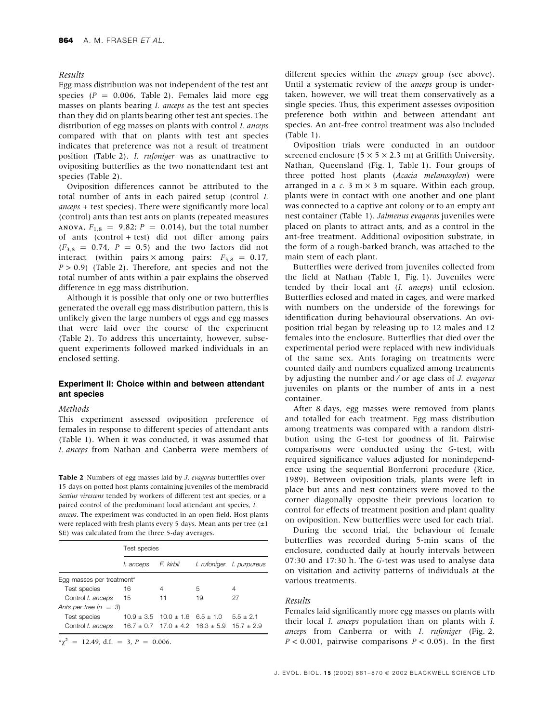### Results

Egg mass distribution was not independent of the test ant species ( $P = 0.006$ , Table 2). Females laid more egg masses on plants bearing *I. anceps* as the test ant species than they did on plants bearing other test ant species. The distribution of egg masses on plants with control *I. anceps* compared with that on plants with test ant species indicates that preference was not a result of treatment position (Table 2). I. rufoniger was as unattractive to ovipositing butterflies as the two nonattendant test ant species (Table 2).

Oviposition differences cannot be attributed to the total number of ants in each paired setup (control I. anceps + test species). There were significantly more local (control) ants than test ants on plants (repeated measures ANOVA,  $F_{1,8} = 9.82; P = 0.014$ , but the total number of ants (control + test) did not differ among pairs  $(F<sub>3,8</sub> = 0.74, P = 0.5)$  and the two factors did not interact (within pairs  $\times$  among pairs:  $F_{3,8} = 0.17$ ,  $P > 0.9$ ) (Table 2). Therefore, ant species and not the total number of ants within a pair explains the observed difference in egg mass distribution.

Although it is possible that only one or two butterflies generated the overall egg mass distribution pattern, this is unlikely given the large numbers of eggs and egg masses that were laid over the course of the experiment (Table 2). To address this uncertainty, however, subsequent experiments followed marked individuals in an enclosed setting.

### Experiment II: Choice within and between attendant ant species

#### Methods

This experiment assessed oviposition preference of females in response to different species of attendant ants (Table 1). When it was conducted, it was assumed that I. anceps from Nathan and Canberra were members of

Table 2 Numbers of egg masses laid by *J. evagoras* butterflies over 15 days on potted host plants containing juveniles of the membracid Sextius virescens tended by workers of different test ant species, or a paired control of the predominant local attendant ant species, I. anceps. The experiment was conducted in an open field. Host plants were replaced with fresh plants every 5 days. Mean ants per tree  $(\pm 1)$ SE) was calculated from the three 5-day averages.

|                                   | <b>Test species</b> |                                                                                     |              |                           |
|-----------------------------------|---------------------|-------------------------------------------------------------------------------------|--------------|---------------------------|
|                                   | l. anceps           | F. kirbii                                                                           | I. rufoniger | l. purpureus              |
| Egg masses per treatment*         |                     |                                                                                     |              |                           |
| Test species                      | 16                  | 4                                                                                   | 5            | 4                         |
| Control <i>I. anceps</i>          | 15                  | 11                                                                                  | 19           | 27                        |
| Ants per tree $(n = 3)$           |                     |                                                                                     |              |                           |
| Test species<br>Control I. anceps |                     | $10.9 + 3.5$ $10.0 + 1.6$ 6.5 + 1.0<br>$16.7 \pm 0.7$ 17.0 $\pm$ 4.2 16.3 $\pm$ 5.9 |              | $55 + 21$<br>$15.7 + 2.9$ |

 $*\gamma^2 = 12.49$ , d.f. = 3, P = 0.006.

different species within the *anceps* group (see above). Until a systematic review of the anceps group is undertaken, however, we will treat them conservatively as a single species. Thus, this experiment assesses oviposition preference both within and between attendant ant species. An ant-free control treatment was also included (Table 1).

Oviposition trials were conducted in an outdoor screened enclosure ( $5 \times 5 \times 2.3$  m) at Griffith University, Nathan, Queensland (Fig. 1, Table 1). Four groups of three potted host plants (Acacia melanoxylon) were arranged in a c. 3 m  $\times$  3 m square. Within each group, plants were in contact with one another and one plant was connected to a captive ant colony or to an empty ant nest container (Table 1). Jalmenus evagoras juveniles were placed on plants to attract ants, and as a control in the ant-free treatment. Additional oviposition substrate, in the form of a rough-barked branch, was attached to the main stem of each plant.

Butterflies were derived from juveniles collected from the field at Nathan (Table 1, Fig. 1). Juveniles were tended by their local ant (I. anceps) until eclosion. Butterflies eclosed and mated in cages, and were marked with numbers on the underside of the forewings for identification during behavioural observations. An oviposition trial began by releasing up to 12 males and 12 females into the enclosure. Butterflies that died over the experimental period were replaced with new individuals of the same sex. Ants foraging on treatments were counted daily and numbers equalized among treatments by adjusting the number and ⁄ or age class of J. evagoras juveniles on plants or the number of ants in a nest container.

After 8 days, egg masses were removed from plants and totalled for each treatment. Egg mass distribution among treatments was compared with a random distribution using the G-test for goodness of fit. Pairwise comparisons were conducted using the G-test, with required significance values adjusted for nonindependence using the sequential Bonferroni procedure (Rice, 1989). Between oviposition trials, plants were left in place but ants and nest containers were moved to the corner diagonally opposite their previous location to control for effects of treatment position and plant quality on oviposition. New butterflies were used for each trial.

During the second trial, the behaviour of female butterflies was recorded during 5-min scans of the enclosure, conducted daily at hourly intervals between 07:30 and 17:30 h. The G-test was used to analyse data on visitation and activity patterns of individuals at the various treatments.

### Results

Females laid significantly more egg masses on plants with their local I. anceps population than on plants with I. anceps from Canberra or with I. rufoniger (Fig. 2,  $P < 0.001$ , pairwise comparisons  $P < 0.05$ ). In the first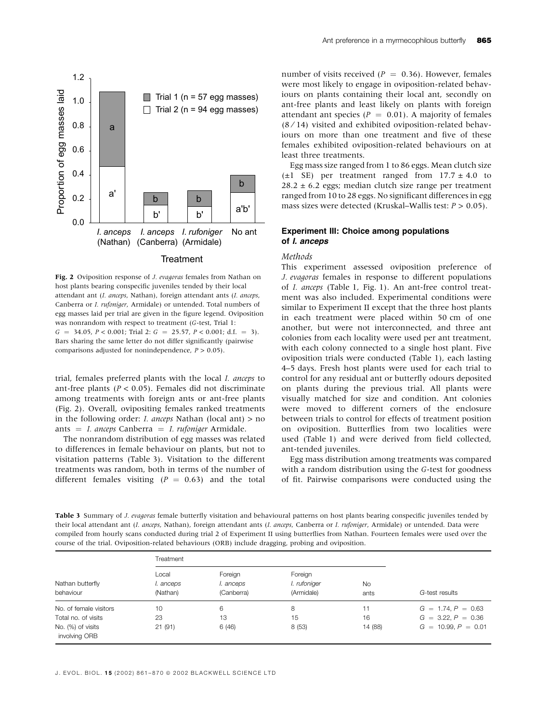

Fig. 2 Oviposition response of *J. evagoras* females from Nathan on host plants bearing conspecific juveniles tended by their local attendant ant (I. anceps, Nathan), foreign attendant ants (I. anceps, Canberra or I. rufoniger, Armidale) or untended. Total numbers of egg masses laid per trial are given in the figure legend. Oviposition was nonrandom with respect to treatment (G-test, Trial 1:  $G = 34.05$ ,  $P < 0.001$ ; Trial 2:  $G = 25.57$ ,  $P < 0.001$ ; d.f.  $= 3$ ). Bars sharing the same letter do not differ significantly (pairwise comparisons adjusted for nonindependence,  $P > 0.05$ ).

trial, females preferred plants with the local I. anceps to ant-free plants ( $P < 0.05$ ). Females did not discriminate among treatments with foreign ants or ant-free plants (Fig. 2). Overall, ovipositing females ranked treatments in the following order: I. anceps Nathan (local ant) > no ants  $= I$ . anceps Canberra  $= I$ . rufoniger Armidale.

The nonrandom distribution of egg masses was related to differences in female behaviour on plants, but not to visitation patterns (Table 3). Visitation to the different treatments was random, both in terms of the number of different females visiting  $(P = 0.63)$  and the total

number of visits received ( $P = 0.36$ ). However, females were most likely to engage in oviposition-related behaviours on plants containing their local ant, secondly on ant-free plants and least likely on plants with foreign attendant ant species ( $P = 0.01$ ). A majority of females (8 ⁄ 14) visited and exhibited oviposition-related behaviours on more than one treatment and five of these females exhibited oviposition-related behaviours on at least three treatments.

Egg mass size ranged from 1 to 86 eggs. Mean clutch size  $(\pm 1 \text{ SE})$  per treatment ranged from  $17.7 \pm 4.0$  to  $28.2 \pm 6.2$  eggs; median clutch size range per treatment ranged from 10 to 28 eggs. No significant differences in egg mass sizes were detected (Kruskal–Wallis test:  $P > 0.05$ ).

# Experiment III: Choice among populations of I. anceps

### Methods

This experiment assessed oviposition preference of J. evagoras females in response to different populations of I. anceps (Table 1, Fig. 1). An ant-free control treatment was also included. Experimental conditions were similar to Experiment II except that the three host plants in each treatment were placed within 50 cm of one another, but were not interconnected, and three ant colonies from each locality were used per ant treatment, with each colony connected to a single host plant. Five oviposition trials were conducted (Table 1), each lasting 4–5 days. Fresh host plants were used for each trial to control for any residual ant or butterfly odours deposited on plants during the previous trial. All plants were visually matched for size and condition. Ant colonies were moved to different corners of the enclosure between trials to control for effects of treatment position on oviposition. Butterflies from two localities were used (Table 1) and were derived from field collected, ant-tended juveniles.

Egg mass distribution among treatments was compared with a random distribution using the G-test for goodness of fit. Pairwise comparisons were conducted using the

Table 3 Summary of J. evagoras female butterfly visitation and behavioural patterns on host plants bearing conspecific juveniles tended by their local attendant ant (I. anceps, Nathan), foreign attendant ants (I. anceps, Canberra or I. rufoniger, Armidale) or untended. Data were compiled from hourly scans conducted during trial 2 of Experiment II using butterflies from Nathan. Fourteen females were used over the course of the trial. Oviposition-related behaviours (ORB) include dragging, probing and oviposition.

|                                    | Treatment                                                            |       |                                       |                   |                       |  |
|------------------------------------|----------------------------------------------------------------------|-------|---------------------------------------|-------------------|-----------------------|--|
| Nathan butterfly<br>behaviour      | Foreign<br>Local<br>l. anceps<br>l. anceps<br>(Nathan)<br>(Canberra) |       | Foreign<br>I. rufoniger<br>(Armidale) | <b>No</b><br>ants | G-test results        |  |
| No. of female visitors             | 10                                                                   | 6     | 8                                     | 11                | $G = 1.74, P = 0.63$  |  |
| Total no. of visits                | 23                                                                   | 13    | 15                                    | 16                | $G = 3.22, P = 0.36$  |  |
| No. (%) of visits<br>involving ORB | 21(91)                                                               | 6(46) | 8(53)                                 | 14 (88)           | $G = 10.99, P = 0.01$ |  |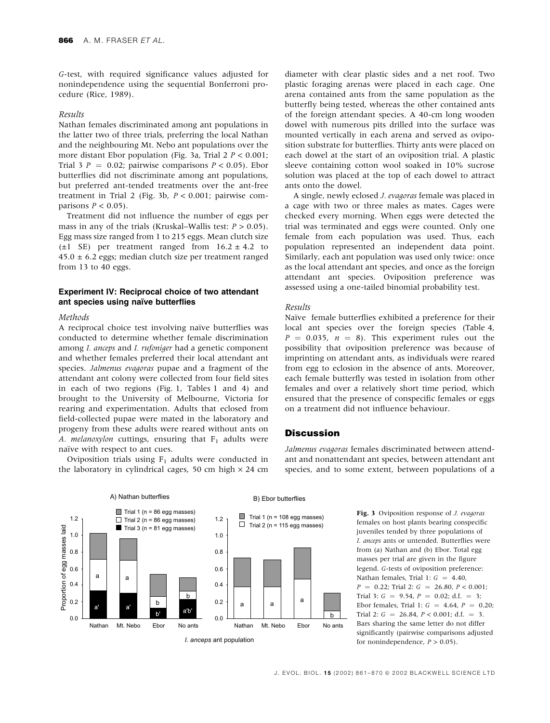G-test, with required significance values adjusted for nonindependence using the sequential Bonferroni procedure (Rice, 1989).

### Results

Nathan females discriminated among ant populations in the latter two of three trials, preferring the local Nathan and the neighbouring Mt. Nebo ant populations over the more distant Ebor population (Fig. 3a, Trial  $2 P < 0.001$ ; Trial 3  $P = 0.02$ ; pairwise comparisons  $P < 0.05$ ). Ebor butterflies did not discriminate among ant populations, but preferred ant-tended treatments over the ant-free treatment in Trial 2 (Fig. 3b,  $P < 0.001$ ; pairwise comparisons  $P < 0.05$ ).

Treatment did not influence the number of eggs per mass in any of the trials (Kruskal–Wallis test:  $P > 0.05$ ). Egg mass size ranged from 1 to 215 eggs. Mean clutch size ( $\pm 1$  SE) per treatment ranged from  $16.2 \pm 4.2$  to  $45.0 \pm 6.2$  eggs; median clutch size per treatment ranged from 13 to 40 eggs.

# Experiment IV: Reciprocal choice of two attendant ant species using naïve butterflies

#### Methods

A reciprocal choice test involving naïve butterflies was conducted to determine whether female discrimination among I. anceps and I. rufoniger had a genetic component and whether females preferred their local attendant ant species. Jalmenus evagoras pupae and a fragment of the attendant ant colony were collected from four field sites in each of two regions (Fig. 1, Tables 1 and 4) and brought to the University of Melbourne, Victoria for rearing and experimentation. Adults that eclosed from field-collected pupae were mated in the laboratory and progeny from these adults were reared without ants on A. *melanoxylon* cuttings, ensuring that  $F_1$  adults were naïve with respect to ant cues.

Oviposition trials using  $F_1$  adults were conducted in the laboratory in cylindrical cages, 50 cm high  $\times$  24 cm

diameter with clear plastic sides and a net roof. Two plastic foraging arenas were placed in each cage. One arena contained ants from the same population as the butterfly being tested, whereas the other contained ants of the foreign attendant species. A 40-cm long wooden dowel with numerous pits drilled into the surface was mounted vertically in each arena and served as oviposition substrate for butterflies. Thirty ants were placed on each dowel at the start of an oviposition trial. A plastic sleeve containing cotton wool soaked in 10% sucrose solution was placed at the top of each dowel to attract ants onto the dowel.

A single, newly eclosed J. evagoras female was placed in a cage with two or three males as mates. Cages were checked every morning. When eggs were detected the trial was terminated and eggs were counted. Only one female from each population was used. Thus, each population represented an independent data point. Similarly, each ant population was used only twice: once as the local attendant ant species, and once as the foreign attendant ant species. Oviposition preference was assessed using a one-tailed binomial probability test.

#### Results

Naïve female butterflies exhibited a preference for their local ant species over the foreign species (Table 4,  $P = 0.035$ ,  $n = 8$ ). This experiment rules out the possibility that oviposition preference was because of imprinting on attendant ants, as individuals were reared from egg to eclosion in the absence of ants. Moreover, each female butterfly was tested in isolation from other females and over a relatively short time period, which ensured that the presence of conspecific females or eggs on a treatment did not influence behaviour.

# **Discussion**

Jalmenus evagoras females discriminated between attendant and nonattendant ant species, between attendant ant species, and to some extent, between populations of a



# A) Nathan butterflies B) Ebor butterflies

females on host plants bearing conspecific juveniles tended by three populations of I. anceps ants or untended. Butterflies were from (a) Nathan and (b) Ebor. Total egg masses per trial are given in the figure legend. G-tests of oviposition preference: Nathan females, Trial 1:  $G = 4.40$ ,  $P = 0.22$ ; Trial 2:  $G = 26.80$ ,  $P < 0.001$ ; Trial 3:  $G = 9.54$ ,  $P = 0.02$ ; d.f.  $= 3$ ; Ebor females, Trial 1:  $G = 4.64$ ,  $P = 0.20$ ; Trial 2:  $G = 26.84$ ,  $P < 0.001$ ; d.f.  $= 3$ . Bars sharing the same letter do not differ significantly (pairwise comparisons adjusted for nonindependence,  $P > 0.05$ ).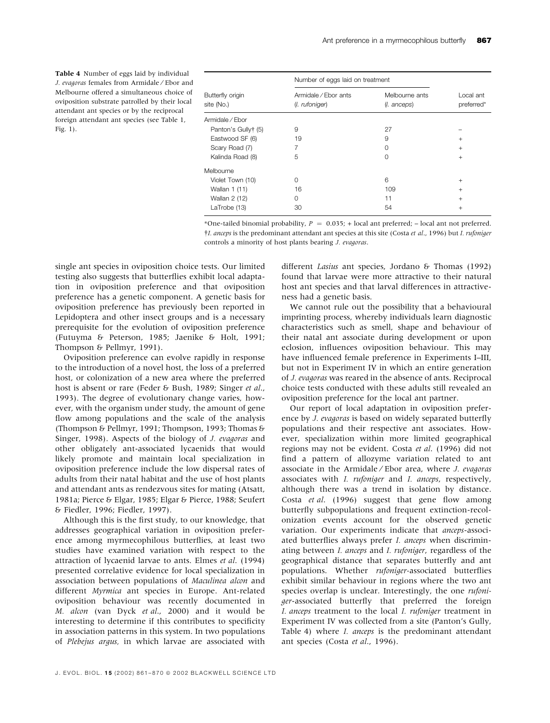Table 4 Number of eggs laid by individual J. evagoras females from Armidale ⁄ Ebor and Melbourne offered a simultaneous choice of oviposition substrate patrolled by their local attendant ant species or by the reciprocal foreign attendant ant species (see Table 1,  $Fig. 1)$ .

|                                | Number of eggs laid on treatment       |                                    |                         |  |
|--------------------------------|----------------------------------------|------------------------------------|-------------------------|--|
| Butterfly origin<br>site (No.) | Armidale / Ebor ants<br>(I. rufoniger) | Melbourne ants<br>$(l.$ anceps $)$ | Local ant<br>preferred* |  |
| Armidale / Ebor                |                                        |                                    |                         |  |
| Panton's Gully† (5)            | 9                                      | 27                                 |                         |  |
| Eastwood SF (6)                | 19                                     | 9                                  | $^{+}$                  |  |
| Scary Road (7)                 | 7                                      | $\Omega$                           | $^{+}$                  |  |
| Kalinda Road (8)               | 5                                      | O                                  | $^{+}$                  |  |
| Melbourne                      |                                        |                                    |                         |  |
| Violet Town (10)               | Ω                                      | 6                                  | $^{+}$                  |  |
| Wallan 1 (11)                  | 16                                     | 109                                | $^{+}$                  |  |
| Wallan 2 (12)                  | $\Omega$                               | 11                                 | $^{+}$                  |  |
| LaTrobe (13)                   | 30                                     | 54                                 | $^{+}$                  |  |

\*One-tailed binomial probability,  $P = 0.035$ ; + local ant preferred; – local ant not preferred. I. anceps is the predominant attendant ant species at this site (Costa et al., 1996) but I. rufoniger controls a minority of host plants bearing J. evagoras.

single ant species in oviposition choice tests. Our limited testing also suggests that butterflies exhibit local adaptation in oviposition preference and that oviposition preference has a genetic component. A genetic basis for oviposition preference has previously been reported in Lepidoptera and other insect groups and is a necessary prerequisite for the evolution of oviposition preference (Futuyma & Peterson, 1985; Jaenike & Holt, 1991; Thompson & Pellmyr, 1991).

Oviposition preference can evolve rapidly in response to the introduction of a novel host, the loss of a preferred host, or colonization of a new area where the preferred host is absent or rare (Feder & Bush, 1989; Singer et al., 1993). The degree of evolutionary change varies, however, with the organism under study, the amount of gene flow among populations and the scale of the analysis (Thompson & Pellmyr, 1991; Thompson, 1993; Thomas & Singer, 1998). Aspects of the biology of J. evagoras and other obligately ant-associated lycaenids that would likely promote and maintain local specialization in oviposition preference include the low dispersal rates of adults from their natal habitat and the use of host plants and attendant ants as rendezvous sites for mating (Atsatt, 1981a; Pierce & Elgar, 1985; Elgar & Pierce, 1988; Seufert & Fiedler, 1996; Fiedler, 1997).

Although this is the first study, to our knowledge, that addresses geographical variation in oviposition preference among myrmecophilous butterflies, at least two studies have examined variation with respect to the attraction of lycaenid larvae to ants. Elmes et al. (1994) presented correlative evidence for local specialization in association between populations of Maculinea alcon and different Myrmica ant species in Europe. Ant-related oviposition behaviour was recently documented in M. alcon (van Dyck et al., 2000) and it would be interesting to determine if this contributes to specificity in association patterns in this system. In two populations of Plebejus argus, in which larvae are associated with different Lasius ant species, Jordano & Thomas (1992) found that larvae were more attractive to their natural host ant species and that larval differences in attractiveness had a genetic basis.

We cannot rule out the possibility that a behavioural imprinting process, whereby individuals learn diagnostic characteristics such as smell, shape and behaviour of their natal ant associate during development or upon eclosion, influences oviposition behaviour. This may have influenced female preference in Experiments I–III, but not in Experiment IV in which an entire generation of J. evagoras was reared in the absence of ants. Reciprocal choice tests conducted with these adults still revealed an oviposition preference for the local ant partner.

Our report of local adaptation in oviposition preference by J. evagoras is based on widely separated butterfly populations and their respective ant associates. However, specialization within more limited geographical regions may not be evident. Costa et al. (1996) did not find a pattern of allozyme variation related to ant associate in the Armidale ⁄ Ebor area, where J. evagoras associates with I. rufoniger and I. anceps, respectively, although there was a trend in isolation by distance. Costa et al. (1996) suggest that gene flow among butterfly subpopulations and frequent extinction-recolonization events account for the observed genetic variation. Our experiments indicate that anceps-associated butterflies always prefer I. anceps when discriminating between *I. anceps* and *I. rufoniger*, regardless of the geographical distance that separates butterfly and ant populations. Whether *rufoniger*-associated butterflies exhibit similar behaviour in regions where the two ant species overlap is unclear. Interestingly, the one *rufoni*ger-associated butterfly that preferred the foreign I. anceps treatment to the local I. rufoniger treatment in Experiment IV was collected from a site (Panton's Gully, Table 4) where *I. anceps* is the predominant attendant ant species (Costa et al., 1996).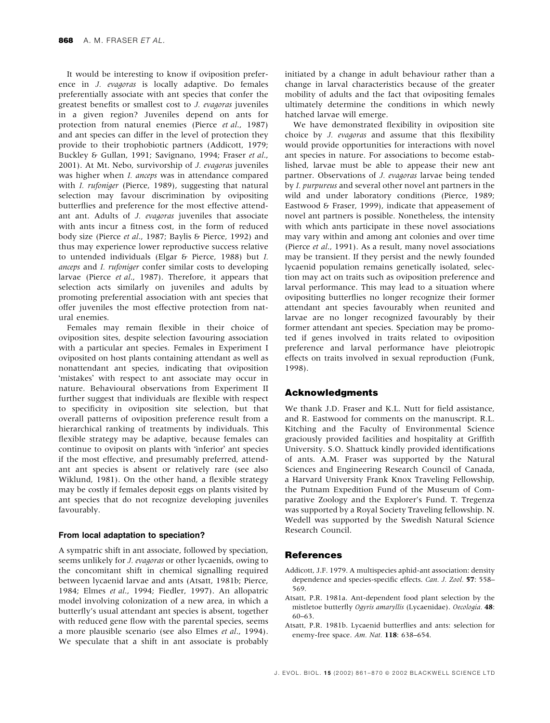It would be interesting to know if oviposition preference in J. evagoras is locally adaptive. Do females preferentially associate with ant species that confer the greatest benefits or smallest cost to J. evagoras juveniles in a given region? Juveniles depend on ants for protection from natural enemies (Pierce et al., 1987) and ant species can differ in the level of protection they provide to their trophobiotic partners (Addicott, 1979; Buckley & Gullan, 1991; Savignano, 1994; Fraser et al., 2001). At Mt. Nebo, survivorship of *J. evagoras* juveniles was higher when *I. anceps* was in attendance compared with *I. rufoniger* (Pierce, 1989), suggesting that natural selection may favour discrimination by ovipositing butterflies and preference for the most effective attendant ant. Adults of J. evagoras juveniles that associate with ants incur a fitness cost, in the form of reduced body size (Pierce et al., 1987; Baylis & Pierce, 1992) and thus may experience lower reproductive success relative to untended individuals (Elgar & Pierce, 1988) but I. anceps and I. rufoniger confer similar costs to developing larvae (Pierce et al., 1987). Therefore, it appears that selection acts similarly on juveniles and adults by promoting preferential association with ant species that offer juveniles the most effective protection from natural enemies.

Females may remain flexible in their choice of oviposition sites, despite selection favouring association with a particular ant species. Females in Experiment I oviposited on host plants containing attendant as well as nonattendant ant species, indicating that oviposition 'mistakes' with respect to ant associate may occur in nature. Behavioural observations from Experiment II further suggest that individuals are flexible with respect to specificity in oviposition site selection, but that overall patterns of oviposition preference result from a hierarchical ranking of treatments by individuals. This flexible strategy may be adaptive, because females can continue to oviposit on plants with 'inferior' ant species if the most effective, and presumably preferred, attendant ant species is absent or relatively rare (see also Wiklund, 1981). On the other hand, a flexible strategy may be costly if females deposit eggs on plants visited by ant species that do not recognize developing juveniles favourably.

#### From local adaptation to speciation?

A sympatric shift in ant associate, followed by speciation, seems unlikely for *J. evagoras* or other lycaenids, owing to the concomitant shift in chemical signalling required between lycaenid larvae and ants (Atsatt, 1981b; Pierce, 1984; Elmes et al., 1994; Fiedler, 1997). An allopatric model involving colonization of a new area, in which a butterfly's usual attendant ant species is absent, together with reduced gene flow with the parental species, seems a more plausible scenario (see also Elmes et al., 1994). We speculate that a shift in ant associate is probably initiated by a change in adult behaviour rather than a change in larval characteristics because of the greater mobility of adults and the fact that ovipositing females ultimately determine the conditions in which newly hatched larvae will emerge.

We have demonstrated flexibility in oviposition site choice by J. evagoras and assume that this flexibility would provide opportunities for interactions with novel ant species in nature. For associations to become established, larvae must be able to appease their new ant partner. Observations of J. evagoras larvae being tended by I. purpureus and several other novel ant partners in the wild and under laboratory conditions (Pierce, 1989; Eastwood & Fraser, 1999), indicate that appeasement of novel ant partners is possible. Nonetheless, the intensity with which ants participate in these novel associations may vary within and among ant colonies and over time (Pierce et al., 1991). As a result, many novel associations may be transient. If they persist and the newly founded lycaenid population remains genetically isolated, selection may act on traits such as oviposition preference and larval performance. This may lead to a situation where ovipositing butterflies no longer recognize their former attendant ant species favourably when reunited and larvae are no longer recognized favourably by their former attendant ant species. Speciation may be promoted if genes involved in traits related to oviposition preference and larval performance have pleiotropic effects on traits involved in sexual reproduction (Funk, 1998).

# Acknowledgments

We thank J.D. Fraser and K.L. Nutt for field assistance, and R. Eastwood for comments on the manuscript. R.L. Kitching and the Faculty of Environmental Science graciously provided facilities and hospitality at Griffith University. S.O. Shattuck kindly provided identifications of ants. A.M. Fraser was supported by the Natural Sciences and Engineering Research Council of Canada, a Harvard University Frank Knox Traveling Fellowship, the Putnam Expedition Fund of the Museum of Comparative Zoology and the Explorer's Fund. T. Tregenza was supported by a Royal Society Traveling fellowship. N. Wedell was supported by the Swedish Natural Science Research Council.

# References

- Addicott, J.F. 1979. A multispecies aphid-ant association: density dependence and species-specific effects. Can. J. Zool. 57: 558-569.
- Atsatt, P.R. 1981a. Ant-dependent food plant selection by the mistletoe butterfly Ogyris amaryllis (Lycaenidae). Oecologia. 48: 60–63.
- Atsatt, P.R. 1981b. Lycaenid butterflies and ants: selection for enemy-free space. Am. Nat. 118: 638–654.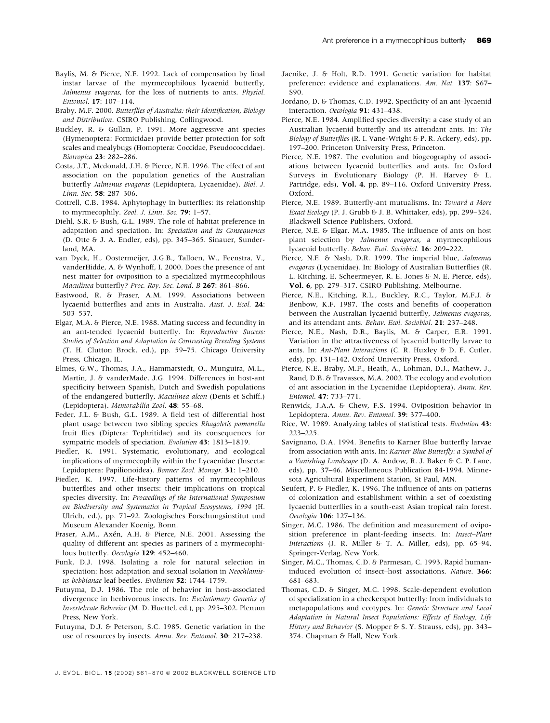- Baylis, M. & Pierce, N.E. 1992. Lack of compensation by final instar larvae of the myrmecophilous lycaenid butterfly, Jalmenus evagoras, for the loss of nutrients to ants. Physiol. Entomol. 17: 107–114.
- Braby, M.F. 2000. Butterflies of Australia: their Identification, Biology and Distribution. CSIRO Publishing, Collingwood.
- Buckley, R. & Gullan, P. 1991. More aggressive ant species (Hymenoptera: Formicidae) provide better protection for soft scales and mealybugs (Homoptera: Coccidae, Pseudococcidae). Biotropica 23: 282–286.
- Costa, J.T., Mcdonald, J.H. & Pierce, N.E. 1996. The effect of ant association on the population genetics of the Australian butterfly Jalmenus evagoras (Lepidoptera, Lycaenidae). Biol. J. Linn. Soc. 58: 287–306.
- Cottrell, C.B. 1984. Aphytophagy in butterflies: its relationship to myrmecophily. Zool. J. Linn. Soc. 79: 1-57.
- Diehl, S.R. & Bush, G.L. 1989. The role of habitat preference in adaptation and speciation. In: Speciation and its Consequences (D. Otte & J. A. Endler, eds), pp. 345–365. Sinauer, Sunderland, MA.
- van Dyck, H., Oostermeijer, J.G.B., Talloen, W., Feenstra, V., vanderHidde, A. & Wynhoff, I. 2000. Does the presence of ant nest matter for oviposition to a specialized myrmecophilous Maculinea butterfly? Proc. Roy. Soc. Lond. B 267: 861–866.
- Eastwood, R. & Fraser, A.M. 1999. Associations between lycaenid butterflies and ants in Australia. Aust. J. Ecol. 24: 503–537.
- Elgar, M.A. & Pierce, N.E. 1988. Mating success and fecundity in an ant-tended lycaenid butterfly. In: Reproductive Success: Studies of Selection and Adaptation in Contrasting Breeding Systems (T. H. Clutton Brock, ed.), pp. 59–75. Chicago University Press, Chicago, IL.
- Elmes, G.W., Thomas, J.A., Hammarstedt, O., Munguira, M.L., Martin, J. & vanderMade, J.G. 1994. Differences in host-ant specificity between Spanish, Dutch and Swedish populations of the endangered butterfly, Maculinea alcon (Denis et Schiff.) (Lepidoptera). Memorabilia Zool. 48: 55–68.
- Feder, J.L. & Bush, G.L. 1989. A field test of differential host plant usage between two sibling species Rhagoletis pomonella fruit flies (Diptera: Tephritidae) and its consequences for sympatric models of speciation. Evolution 43: 1813–1819.
- Fiedler, K. 1991. Systematic, evolutionary, and ecological implications of myrmecophily within the Lycaenidae (Insecta: Lepidoptera: Papilionoidea). Bonner Zool. Monogr. 31: 1–210.
- Fiedler, K. 1997. Life-history patterns of myrmecophilous butterflies and other insects: their implications on tropical species diversity. In: Proceedings of the International Symposium on Biodiversity and Systematics in Tropical Ecosystems, 1994 (H. Ulrich, ed.), pp. 71–92. Zoologisches Forschungsinstitut und Museum Alexander Koenig, Bonn.
- Fraser, A.M., Axén, A.H. & Pierce, N.E. 2001. Assessing the quality of different ant species as partners of a myrmecophilous butterfly. Oecologia 129: 452-460.
- Funk, D.J. 1998. Isolating a role for natural selection in speciation: host adaptation and sexual isolation in Neochlamisus bebbianae leaf beetles. Evolution 52: 1744–1759.
- Futuyma, D.J. 1986. The role of behavior in host-associated divergence in herbivorous insects. In: Evolutionary Genetics of Invertebrate Behavior (M. D. Huettel, ed.), pp. 295–302. Plenum Press, New York.
- Futuyma, D.J. & Peterson, S.C. 1985. Genetic variation in the use of resources by insects. Annu. Rev. Entomol. 30: 217-238.
- Jaenike, J. & Holt, R.D. 1991. Genetic variation for habitat preference: evidence and explanations. Am. Nat. 137: S67– S90.
- Jordano, D. & Thomas, C.D. 1992. Specificity of an ant–lycaenid interaction. Oecologia 91: 431–438.
- Pierce, N.E. 1984. Amplified species diversity: a case study of an Australian lycaenid butterfly and its attendant ants. In: The Biology of Butterflies (R. I. Vane-Wright & P. R. Ackery, eds), pp. 197–200. Princeton University Press, Princeton.
- Pierce, N.E. 1987. The evolution and biogeography of associations between lycaenid butterflies and ants. In: Oxford Surveys in Evolutionary Biology (P. H. Harvey & L. Partridge, eds), Vol. 4, pp. 89–116. Oxford University Press, Oxford.
- Pierce, N.E. 1989. Butterfly-ant mutualisms. In: Toward a More Exact Ecology (P. J. Grubb & J. B. Whittaker, eds), pp. 299–324. Blackwell Science Publishers, Oxford.
- Pierce, N.E. & Elgar, M.A. 1985. The influence of ants on host plant selection by Jalmenus evagoras, a myrmecophilous lycaenid butterfly. Behav. Ecol. Sociobiol. 16: 209–222.
- Pierce, N.E. & Nash, D.R. 1999. The imperial blue, Jalmenus evagoras (Lycaenidae). In: Biology of Australian Butterflies (R. L. Kitching, E. Scheermeyer, R. E. Jones & N. E. Pierce, eds), Vol. 6, pp. 279–317. CSIRO Publishing, Melbourne.
- Pierce, N.E., Kitching, R.L., Buckley, R.C., Taylor, M.F.J. & Benbow, K.F. 1987. The costs and benefits of cooperation between the Australian lycaenid butterfly, Jalmenus evagoras, and its attendant ants. Behav. Ecol. Sociobiol. 21: 237–248.
- Pierce, N.E., Nash, D.R., Baylis, M. & Carper, E.R. 1991. Variation in the attractiveness of lycaenid butterfly larvae to ants. In: Ant-Plant Interactions (C. R. Huxley & D. F. Cutler, eds), pp. 131–142. Oxford University Press, Oxford.
- Pierce, N.E., Braby, M.F., Heath, A., Lohman, D.J., Mathew, J., Rand, D.B. & Travassos, M.A. 2002. The ecology and evolution of ant association in the Lycaenidae (Lepidoptera). Annu. Rev. Entomol. 47: 733–771.
- Renwick, J.A.A. & Chew, F.S. 1994. Oviposition behavior in Lepidoptera. Annu. Rev. Entomol. 39: 377–400.
- Rice, W. 1989. Analyzing tables of statistical tests. Evolution 43: 223–225.
- Savignano, D.A. 1994. Benefits to Karner Blue butterfly larvae from association with ants. In: Karner Blue Butterfly: a Symbol of a Vanishing Landscape (D. A. Andow, R. J. Baker & C. P. Lane, eds), pp. 37–46. Miscellaneous Publication 84-1994. Minnesota Agricultural Experiment Station, St Paul, MN.
- Seufert, P. & Fiedler, K. 1996. The influence of ants on patterns of colonization and establishment within a set of coexisting lycaenid butterflies in a south-east Asian tropical rain forest. Oecologia 106: 127–136.
- Singer, M.C. 1986. The definition and measurement of oviposition preference in plant-feeding insects. In: Insect-Plant Interactions (J. R. Miller & T. A. Miller, eds), pp. 65-94. Springer-Verlag, New York.
- Singer, M.C., Thomas, C.D. & Parmesan, C. 1993. Rapid humaninduced evolution of insect–host associations. Nature. 366: 681–683.
- Thomas, C.D. & Singer, M.C. 1998. Scale-dependent evolution of specialization in a checkerspot butterfly: from individuals to metapopulations and ecotypes. In: Genetic Structure and Local Adaptation in Natural Insect Populations: Effects of Ecology, Life History and Behavior (S. Mopper & S. Y. Strauss, eds), pp. 343– 374. Chapman & Hall, New York.